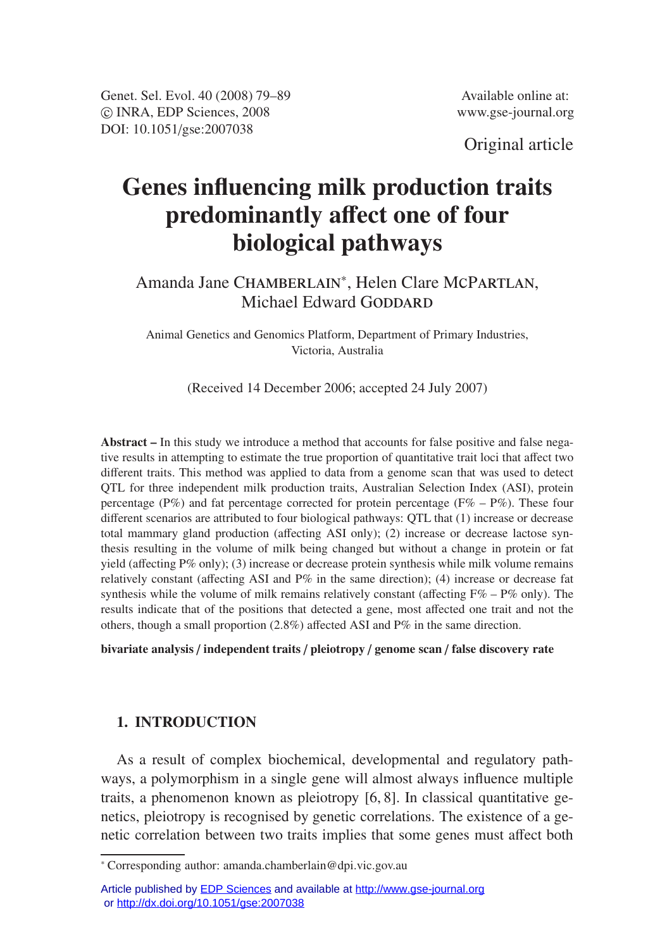Original article

# **Genes influencing milk production traits predominantly a**ff**ect one of four biological pathways**

Amanda Jane Chamberlain<sup>∗</sup> , Helen Clare McPartlan, Michael Edward GODDARD

Animal Genetics and Genomics Platform, Department of Primary Industries, Victoria, Australia

(Received 14 December 2006; accepted 24 July 2007)

**Abstract –** In this study we introduce a method that accounts for false positive and false negative results in attempting to estimate the true proportion of quantitative trait loci that affect two different traits. This method was applied to data from a genome scan that was used to detect QTL for three independent milk production traits, Australian Selection Index (ASI), protein percentage (P%) and fat percentage corrected for protein percentage ( $F\% - P\%$ ). These four different scenarios are attributed to four biological pathways: QTL that (1) increase or decrease total mammary gland production (affecting ASI only); (2) increase or decrease lactose synthesis resulting in the volume of milk being changed but without a change in protein or fat yield (affecting P% only); (3) increase or decrease protein synthesis while milk volume remains relatively constant (affecting ASI and  $P\%$  in the same direction); (4) increase or decrease fat synthesis while the volume of milk remains relatively constant (affecting  $F\% - P\%$  only). The results indicate that of the positions that detected a gene, most affected one trait and not the others, though a small proportion  $(2.8\%)$  affected ASI and P% in the same direction.

**bivariate analysis** / **independent traits** / **pleiotropy** / **genome scan** / **false discovery rate**

# **1. INTRODUCTION**

As a result of complex biochemical, developmental and regulatory pathways, a polymorphism in a single gene will almost always influence multiple traits, a phenomenon known as pleiotropy [6, 8]. In classical quantitative genetics, pleiotropy is recognised by genetic correlations. The existence of a genetic correlation between two traits implies that some genes must affect both

<sup>∗</sup> Corresponding author: amanda.chamberlain@dpi.vic.gov.au

Article published by [EDP Sciences](http://www.edpsciences.org) and available at <http://www.gse-journal.org> or<http://dx.doi.org/10.1051/gse:2007038>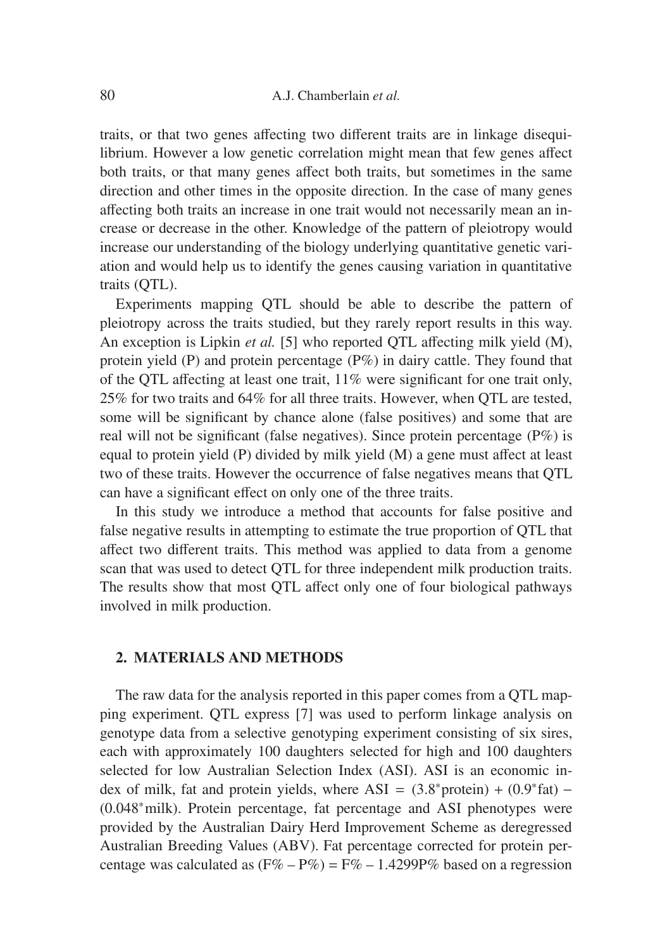traits, or that two genes affecting two different traits are in linkage disequilibrium. However a low genetic correlation might mean that few genes affect both traits, or that many genes affect both traits, but sometimes in the same direction and other times in the opposite direction. In the case of many genes affecting both traits an increase in one trait would not necessarily mean an increase or decrease in the other. Knowledge of the pattern of pleiotropy would increase our understanding of the biology underlying quantitative genetic variation and would help us to identify the genes causing variation in quantitative traits (QTL).

Experiments mapping QTL should be able to describe the pattern of pleiotropy across the traits studied, but they rarely report results in this way. An exception is Lipkin *et al.* [5] who reported QTL affecting milk yield (M), protein yield (P) and protein percentage (P%) in dairy cattle. They found that of the QTL affecting at least one trait, 11% were significant for one trait only, 25% for two traits and 64% for all three traits. However, when QTL are tested, some will be significant by chance alone (false positives) and some that are real will not be significant (false negatives). Since protein percentage (P%) is equal to protein yield (P) divided by milk yield (M) a gene must affect at least two of these traits. However the occurrence of false negatives means that QTL can have a significant effect on only one of the three traits.

In this study we introduce a method that accounts for false positive and false negative results in attempting to estimate the true proportion of QTL that affect two different traits. This method was applied to data from a genome scan that was used to detect QTL for three independent milk production traits. The results show that most QTL affect only one of four biological pathways involved in milk production.

# **2. MATERIALS AND METHODS**

The raw data for the analysis reported in this paper comes from a QTL mapping experiment. QTL express [7] was used to perform linkage analysis on genotype data from a selective genotyping experiment consisting of six sires, each with approximately 100 daughters selected for high and 100 daughters selected for low Australian Selection Index (ASI). ASI is an economic index of milk, fat and protein yields, where ASI =  $(3.8<sup>*</sup> protein) + (0.9<sup>*</sup> fat)$  – (0.048∗milk). Protein percentage, fat percentage and ASI phenotypes were provided by the Australian Dairy Herd Improvement Scheme as deregressed Australian Breeding Values (ABV). Fat percentage corrected for protein percentage was calculated as  $(F\% - P\%) = F\% - 1.4299P\%$  based on a regression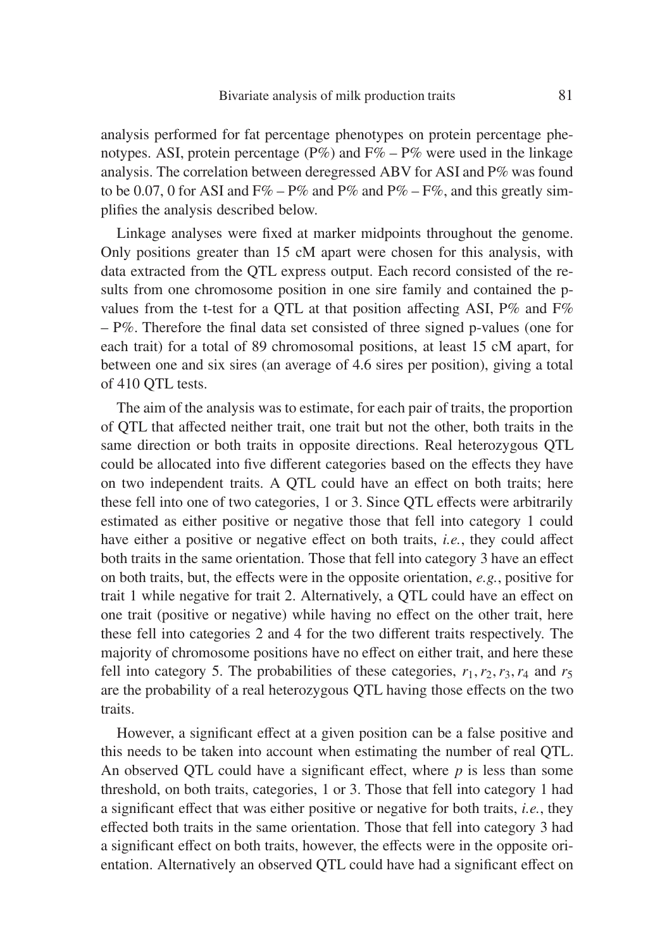analysis performed for fat percentage phenotypes on protein percentage phenotypes. ASI, protein percentage ( $P\%$ ) and  $F\%$  –  $P\%$  were used in the linkage analysis. The correlation between deregressed ABV for ASI and P% was found to be 0.07, 0 for ASI and  $F\% - P\%$  and  $P\%$  and  $P\% - F\%$ , and this greatly simplifies the analysis described below.

Linkage analyses were fixed at marker midpoints throughout the genome. Only positions greater than 15 cM apart were chosen for this analysis, with data extracted from the QTL express output. Each record consisted of the results from one chromosome position in one sire family and contained the pvalues from the t-test for a QTL at that position affecting ASI, P% and F% – P%. Therefore the final data set consisted of three signed p-values (one for each trait) for a total of 89 chromosomal positions, at least 15 cM apart, for between one and six sires (an average of 4.6 sires per position), giving a total of 410 QTL tests.

The aim of the analysis was to estimate, for each pair of traits, the proportion of QTL that affected neither trait, one trait but not the other, both traits in the same direction or both traits in opposite directions. Real heterozygous QTL could be allocated into five different categories based on the effects they have on two independent traits. A QTL could have an effect on both traits; here these fell into one of two categories, 1 or 3. Since QTL effects were arbitrarily estimated as either positive or negative those that fell into category 1 could have either a positive or negative effect on both traits, *i.e.*, they could affect both traits in the same orientation. Those that fell into category 3 have an effect on both traits, but, the effects were in the opposite orientation, *e.g.*, positive for trait 1 while negative for trait 2. Alternatively, a QTL could have an effect on one trait (positive or negative) while having no effect on the other trait, here these fell into categories 2 and 4 for the two different traits respectively. The majority of chromosome positions have no effect on either trait, and here these fell into category 5. The probabilities of these categories,  $r_1, r_2, r_3, r_4$  and  $r_5$ are the probability of a real heterozygous QTL having those effects on the two traits.

However, a significant effect at a given position can be a false positive and this needs to be taken into account when estimating the number of real QTL. An observed QTL could have a significant effect, where *p* is less than some threshold, on both traits, categories, 1 or 3. Those that fell into category 1 had a significant effect that was either positive or negative for both traits, *i.e.*, they effected both traits in the same orientation. Those that fell into category 3 had a significant effect on both traits, however, the effects were in the opposite orientation. Alternatively an observed QTL could have had a significant effect on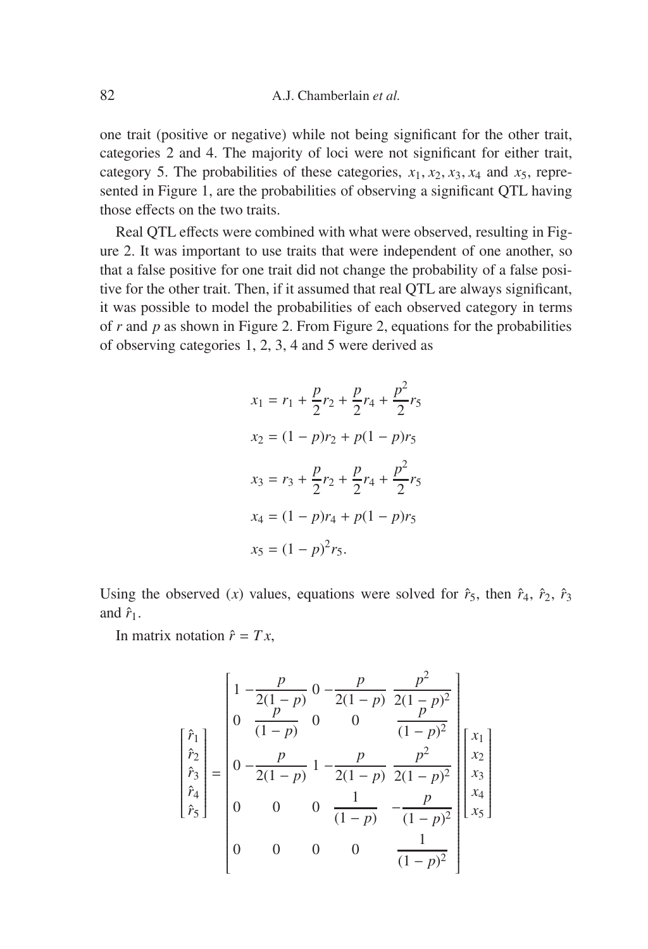one trait (positive or negative) while not being significant for the other trait, categories 2 and 4. The majority of loci were not significant for either trait, category 5. The probabilities of these categories,  $x_1, x_2, x_3, x_4$  and  $x_5$ , represented in Figure 1, are the probabilities of observing a significant QTL having those effects on the two traits.

Real QTL effects were combined with what were observed, resulting in Figure 2. It was important to use traits that were independent of one another, so that a false positive for one trait did not change the probability of a false positive for the other trait. Then, if it assumed that real QTL are always significant, it was possible to model the probabilities of each observed category in terms of *r* and *p* as shown in Figure 2. From Figure 2, equations for the probabilities of observing categories 1, 2, 3, 4 and 5 were derived as

$$
x_1 = r_1 + \frac{p}{2}r_2 + \frac{p}{2}r_4 + \frac{p^2}{2}r_5
$$
  
\n
$$
x_2 = (1 - p)r_2 + p(1 - p)r_5
$$
  
\n
$$
x_3 = r_3 + \frac{p}{2}r_2 + \frac{p}{2}r_4 + \frac{p^2}{2}r_5
$$
  
\n
$$
x_4 = (1 - p)r_4 + p(1 - p)r_5
$$
  
\n
$$
x_5 = (1 - p)^2 r_5.
$$

Using the observed (*x*) values, equations were solved for  $\hat{r}_5$ , then  $\hat{r}_4$ ,  $\hat{r}_2$ ,  $\hat{r}_3$ and  $\hat{r}_1$ .

In matrix notation  $\hat{r} = Tx$ ,

$$
\begin{bmatrix} \hat{r}_1 \\ \hat{r}_2 \\ \hat{r}_3 \\ \hat{r}_4 \\ \hat{r}_5 \end{bmatrix} = \begin{bmatrix} 1 - \frac{p}{2(1-p)} & 0 - \frac{p}{2(1-p)} & \frac{p^2}{2(1-p)^2} \\ 0 & \frac{p}{(1-p)} & 0 & 0 \\ 0 - \frac{p}{2(1-p)} & 1 - \frac{p}{2(1-p)} & \frac{p^2}{2(1-p)^2} \\ 0 & 0 & 0 & \frac{1}{(1-p)} & -\frac{p}{(1-p)^2} \\ 0 & 0 & 0 & 0 & \frac{1}{(1-p)^2} \end{bmatrix} \begin{bmatrix} x_1 \\ x_2 \\ x_3 \\ x_4 \\ x_5 \end{bmatrix}
$$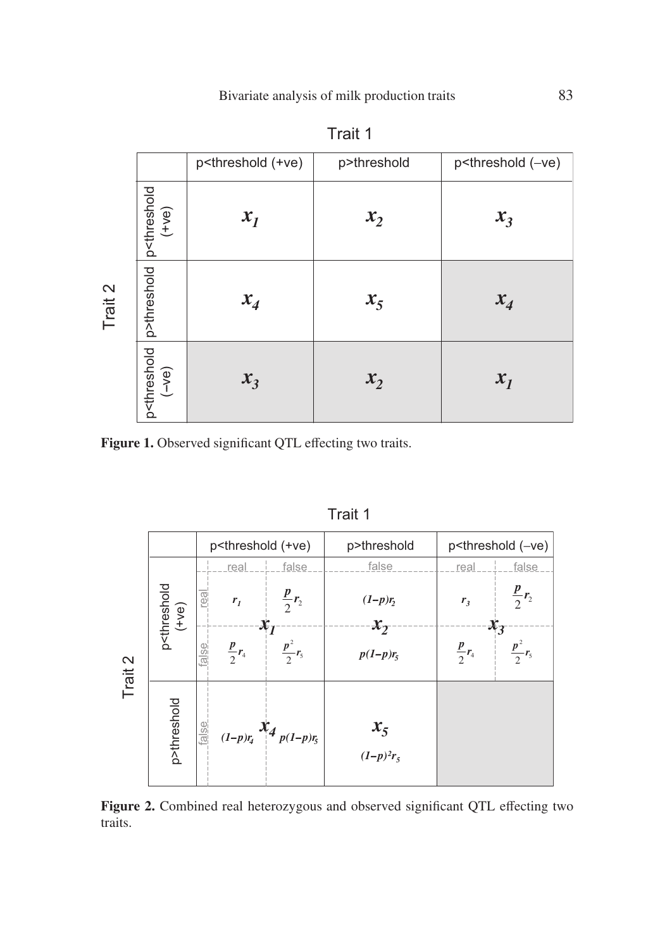|         |                                      | p <threshold (+ve)<="" th=""><th>p&gt;threshold</th><th>p<threshold (-ve)<="" th=""></threshold></th></threshold> | p>threshold | p <threshold (-ve)<="" th=""></threshold> |
|---------|--------------------------------------|-------------------------------------------------------------------------------------------------------------------|-------------|-------------------------------------------|
| Trait 2 | p <threshold<br>(+ve)</threshold<br> | $x_I$                                                                                                             | $x_2$       | $x_3$                                     |
|         | p>threshold                          | $x_4$                                                                                                             | $x_5$       | $x_4$                                     |
|         | p <threshold<br>(–ve)</threshold<br> | $x_3$                                                                                                             | $x_2$       | $x_I$                                     |

Trait 1

**Figure 1.** Observed significant QTL effecting two traits.



Trait 1

**Figure 2.** Combined real heterozygous and observed significant QTL effecting two traits.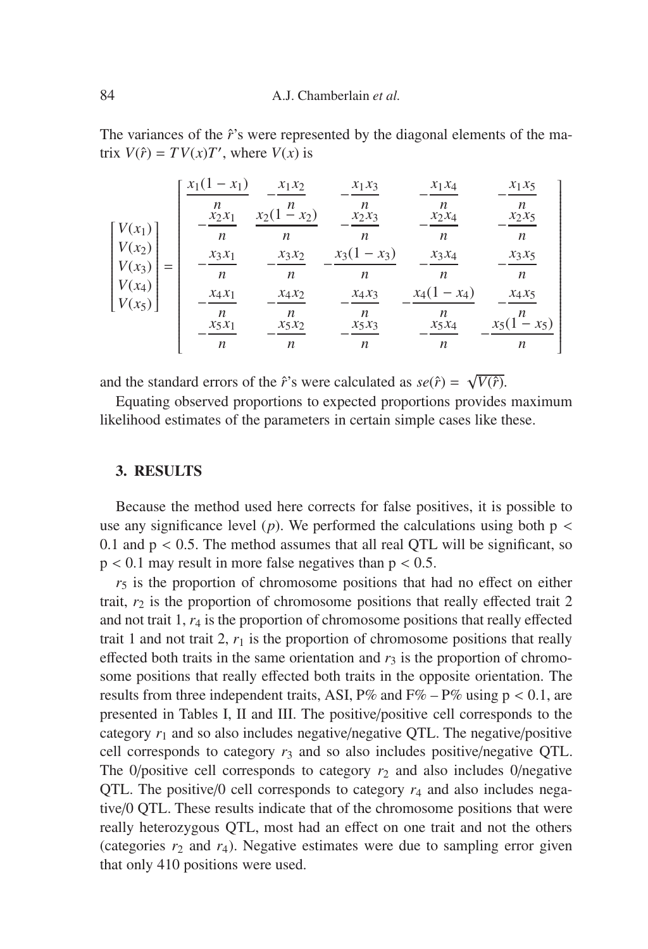The variances of the  $\hat{r}$ 's were represented by the diagonal elements of the matrix  $V(\hat{r}) = TV(x)T'$ , where  $V(x)$  is

|                        | $x_1(1-x_1)$     | $x_1x_2$          | $x_1x_3$                     | $x_1x_4$                     | $x_1x_5$                     |
|------------------------|------------------|-------------------|------------------------------|------------------------------|------------------------------|
|                        | n<br>$x_2x_1$    | n<br>$x_2(1-x_2)$ | $\boldsymbol{n}$<br>$x_2x_3$ | $\boldsymbol{n}$<br>$x_2x_4$ | $\boldsymbol{n}$<br>$x_2x_5$ |
| $\lceil V(x_1) \rceil$ | $\boldsymbol{n}$ | $\boldsymbol{n}$  | $\boldsymbol{n}$             | $\boldsymbol{n}$             | $\boldsymbol{n}$             |
| $V(x_2)$               | $x_3x_1$         | $x_3x_2$          | $x_3(1-x_3)$                 | $x_3x_4$                     | $x_3x_5$                     |
| $V(x_3)$<br>$V(x_4)$   | $\boldsymbol{n}$ | $\boldsymbol{n}$  | $\boldsymbol{n}$             | $\boldsymbol{n}$             | $\boldsymbol{n}$             |
| $[V(x_5)]$             | $x_4x_1$         | $x_4x_2$          | $x_4x_3$                     | $x_4(1-x_4)$                 | $x_4x_5$                     |
|                        | n<br>$x_5x_1$    | n<br>$x_5x_2$     | n<br>$x_5x_3$                | n<br>$x_5x_4$                | n<br>$x_5(1-x_5)$            |
|                        | $\boldsymbol{n}$ | n                 | $\boldsymbol{n}$             | $\boldsymbol{n}$             | $\boldsymbol{n}$             |

and the standard errors of the  $\hat{r}$ 's were calculated as  $se(\hat{r}) = \sqrt{V(\hat{r})}$ .

Equating observed proportions to expected proportions provides maximum likelihood estimates of the parameters in certain simple cases like these.

#### **3. RESULTS**

Because the method used here corrects for false positives, it is possible to use any significance level  $(p)$ . We performed the calculations using both  $p <$ 0.1 and  $p < 0.5$ . The method assumes that all real QTL will be significant, so  $p < 0.1$  may result in more false negatives than  $p < 0.5$ .

 $r<sub>5</sub>$  is the proportion of chromosome positions that had no effect on either trait,  $r_2$  is the proportion of chromosome positions that really effected trait  $2$ and not trait 1, *r*<sup>4</sup> is the proportion of chromosome positions that really effected trait 1 and not trait 2,  $r_1$  is the proportion of chromosome positions that really effected both traits in the same orientation and  $r<sub>3</sub>$  is the proportion of chromosome positions that really effected both traits in the opposite orientation. The results from three independent traits, ASI,  $P\%$  and  $F\%$  –  $P\%$  using  $p < 0.1$ , are presented in Tables I, II and III. The positive/positive cell corresponds to the category  $r_1$  and so also includes negative/negative QTL. The negative/positive cell corresponds to category *r*<sup>3</sup> and so also includes positive/negative QTL. The  $0$ /positive cell corresponds to category  $r_2$  and also includes  $0$ /negative QTL. The positive/0 cell corresponds to category  $r_4$  and also includes negative/0 QTL. These results indicate that of the chromosome positions that were really heterozygous QTL, most had an effect on one trait and not the others (categories  $r_2$  and  $r_4$ ). Negative estimates were due to sampling error given that only 410 positions were used.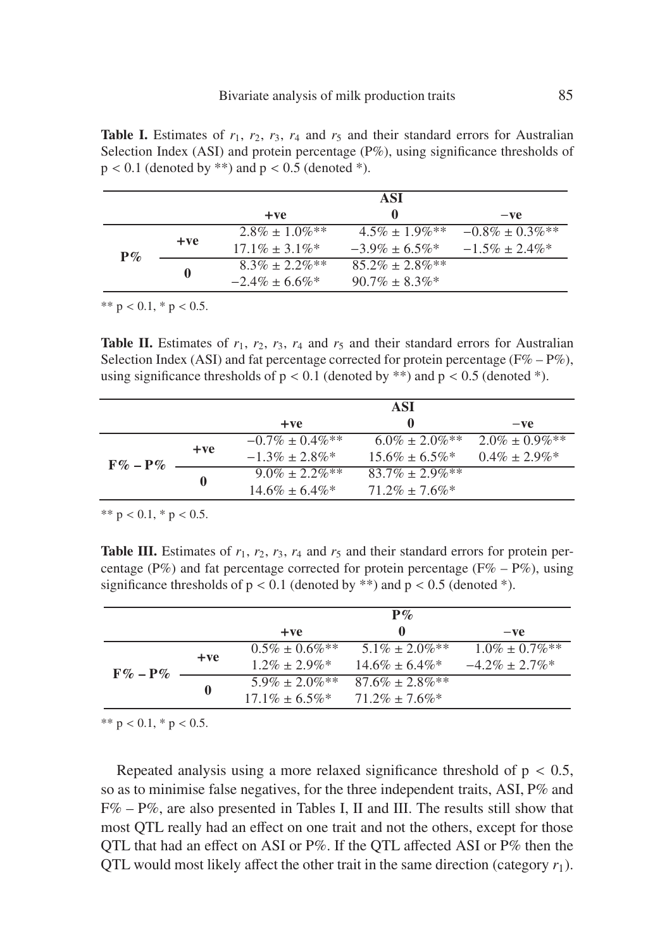**Table I.** Estimates of  $r_1$ ,  $r_2$ ,  $r_3$ ,  $r_4$  and  $r_5$  and their standard errors for Australian Selection Index (ASI) and protein percentage (P%), using significance thresholds of  $p < 0.1$  (denoted by \*\*) and  $p < 0.5$  (denoted \*).

|       |       |                                 | ASI                   |                       |
|-------|-------|---------------------------------|-----------------------|-----------------------|
|       |       | $+ve$                           | $\mathbf{0}$          | —ve                   |
|       | $+ve$ | $2.8\% \pm 1.0\%$ <sup>**</sup> | $4.5\% + 1.9\%$ **    | $-0.8\% \pm 0.3\%$ ** |
| $P\%$ |       | $17.1\% \pm 3.1\%$              | $-3.9\% \pm 6.5\%$    | $-1.5\% \pm 2.4\%$ *  |
|       |       | $8.3\% + 2.2\%$ **              | $85.2\% \pm 2.8\%$ ** |                       |
|       |       | $-2.4\% \pm 6.6\%$ *            | $90.7\% \pm 8.3\%$ *  |                       |

\*\*  $p < 0.1$ , \*  $p < 0.5$ .

**Table II.** Estimates of  $r_1$ ,  $r_2$ ,  $r_3$ ,  $r_4$  and  $r_5$  and their standard errors for Australian Selection Index (ASI) and fat percentage corrected for protein percentage ( $F\% - P\%$ ), using significance thresholds of  $p < 0.1$  (denoted by \*\*) and  $p < 0.5$  (denoted \*).

|             |       |                       | ASI                             |                      |
|-------------|-------|-----------------------|---------------------------------|----------------------|
|             |       | $+ve$                 |                                 | $-ve$                |
| $F\% - P\%$ | $+ve$ | $-0.7\% \pm 0.4\%$ ** | $6.0\% \pm 2.0\%$ **            | $2.0\% \pm 0.9\%$ ** |
|             |       | $-1.3\% \pm 2.8\%$ *  | $15.6\% \pm 6.5\%$ *            | $0.4\% \pm 2.9\%$ *  |
|             | 0     | $9.0\% \pm 2.2\%$ **  | $83.7\% \pm 2.9\%$ **           |                      |
|             |       | $14.6\% \pm 6.4\%$ *  | $71.2\% \pm 7.6\%$ <sup>*</sup> |                      |

\*\*  $p < 0.1$ , \*  $p < 0.5$ .

**Table III.** Estimates of  $r_1$ ,  $r_2$ ,  $r_3$ ,  $r_4$  and  $r_5$  and their standard errors for protein percentage (P%) and fat percentage corrected for protein percentage (F% – P%), using significance thresholds of  $p < 0.1$  (denoted by \*\*) and  $p < 0.5$  (denoted \*).

|             |          |                                 | $P\%$                           |                                 |
|-------------|----------|---------------------------------|---------------------------------|---------------------------------|
|             |          | $+ve$                           |                                 | $-ve$                           |
|             |          | $0.5\% \pm 0.6\%$ <sup>**</sup> | $5.1\% \pm 2.0\%$ **            | $1.0\% \pm 0.7\%$ <sup>**</sup> |
| $F\% - P\%$ | $+ve$    | $1.2\% \pm 2.9\%$ *             | $14.6\% \pm 6.4\%$              | $-4.2\% \pm 2.7\%$ <sup>*</sup> |
|             |          | $5.9\% \pm 2.0\%$ **            | $87.6\% \pm 2.8\%$ **           |                                 |
|             | $\bf{0}$ | $17.1\% \pm 6.5\%$ *            | $71.2\% \pm 7.6\%$ <sup>*</sup> |                                 |

\*\*  $p < 0.1$ , \*  $p < 0.5$ .

Repeated analysis using a more relaxed significance threshold of  $p < 0.5$ , so as to minimise false negatives, for the three independent traits, ASI, P% and F% – P%, are also presented in Tables I, II and III. The results still show that most QTL really had an effect on one trait and not the others, except for those QTL that had an effect on ASI or P%. If the QTL affected ASI or P% then the QTL would most likely affect the other trait in the same direction (category  $r_1$ ).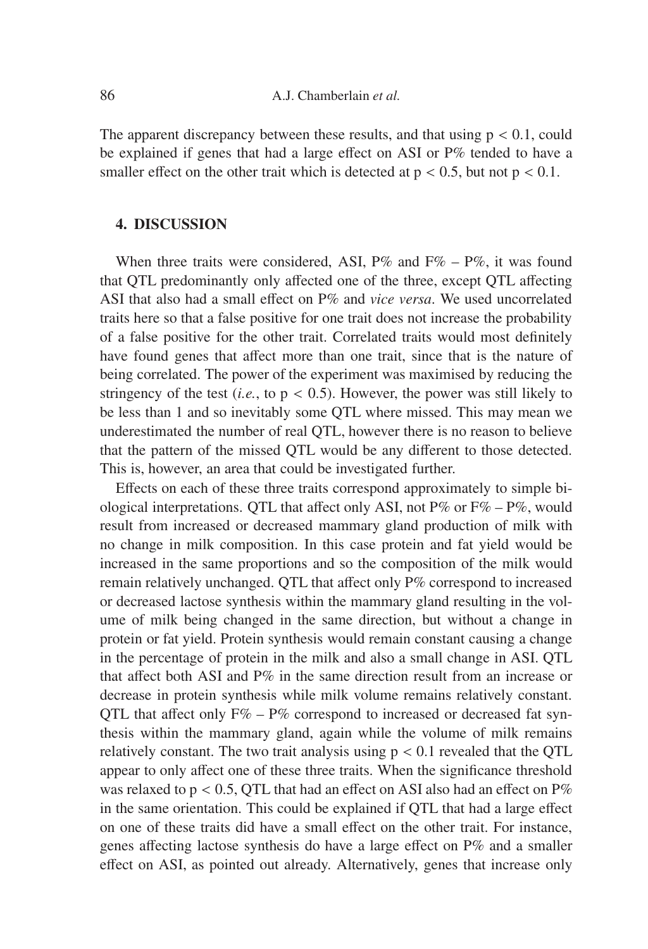The apparent discrepancy between these results, and that using  $p < 0.1$ , could be explained if genes that had a large effect on ASI or P% tended to have a smaller effect on the other trait which is detected at  $p < 0.5$ , but not  $p < 0.1$ .

## **4. DISCUSSION**

When three traits were considered, ASI,  $P\%$  and  $F\%$  –  $P\%$ , it was found that QTL predominantly only affected one of the three, except QTL affecting ASI that also had a small effect on P% and *vice versa*. We used uncorrelated traits here so that a false positive for one trait does not increase the probability of a false positive for the other trait. Correlated traits would most definitely have found genes that affect more than one trait, since that is the nature of being correlated. The power of the experiment was maximised by reducing the stringency of the test (*i.e.*, to  $p < 0.5$ ). However, the power was still likely to be less than 1 and so inevitably some QTL where missed. This may mean we underestimated the number of real QTL, however there is no reason to believe that the pattern of the missed QTL would be any different to those detected. This is, however, an area that could be investigated further.

Effects on each of these three traits correspond approximately to simple biological interpretations. QTL that affect only ASI, not  $P\%$  or  $F\%$  –  $P\%$ , would result from increased or decreased mammary gland production of milk with no change in milk composition. In this case protein and fat yield would be increased in the same proportions and so the composition of the milk would remain relatively unchanged. QTL that affect only P% correspond to increased or decreased lactose synthesis within the mammary gland resulting in the volume of milk being changed in the same direction, but without a change in protein or fat yield. Protein synthesis would remain constant causing a change in the percentage of protein in the milk and also a small change in ASI. QTL that affect both ASI and P% in the same direction result from an increase or decrease in protein synthesis while milk volume remains relatively constant. QTL that affect only  $F\%$  –  $P\%$  correspond to increased or decreased fat synthesis within the mammary gland, again while the volume of milk remains relatively constant. The two trait analysis using  $p < 0.1$  revealed that the QTL appear to only affect one of these three traits. When the significance threshold was relaxed to  $p < 0.5$ , QTL that had an effect on ASI also had an effect on P% in the same orientation. This could be explained if QTL that had a large effect on one of these traits did have a small effect on the other trait. For instance, genes affecting lactose synthesis do have a large effect on P% and a smaller effect on ASI, as pointed out already. Alternatively, genes that increase only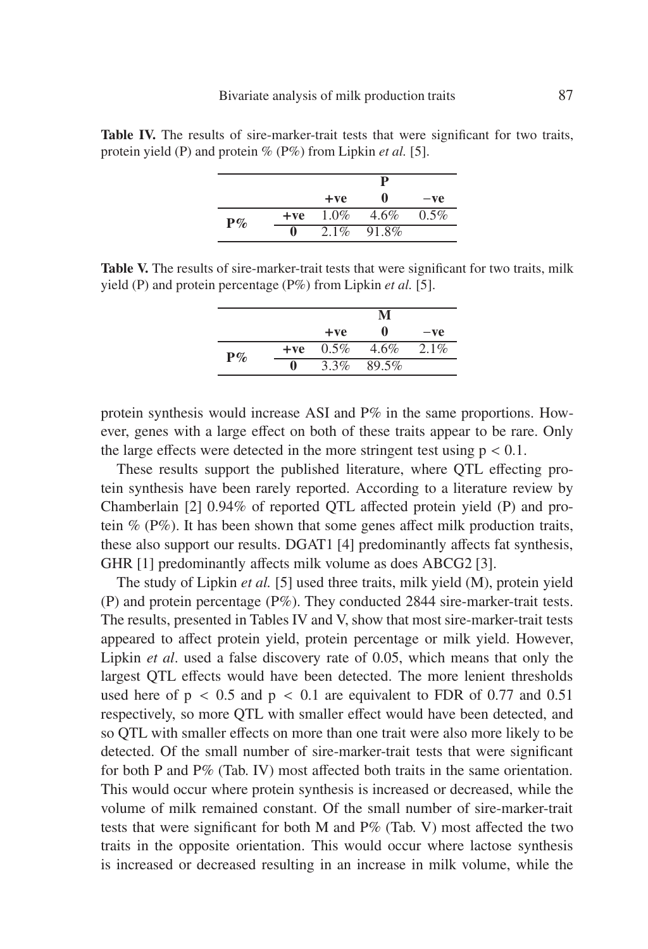**Table IV.** The results of sire-marker-trait tests that were significant for two traits, protein yield (P) and protein % (P%) from Lipkin *et al.* [5].

|       |       |         | Р       |         |
|-------|-------|---------|---------|---------|
|       |       | $+ve$   | 0       | $-ve$   |
| $P\%$ | $+ve$ | $1.0\%$ | $4.6\%$ | $0.5\%$ |
|       |       | $2.1\%$ | 91.8%   |         |

**Table V.** The results of sire-marker-trait tests that were significant for two traits, milk yield (P) and protein percentage (P%) from Lipkin *et al.* [5].

|       |       |         | м       |         |
|-------|-------|---------|---------|---------|
|       |       | $+ve$   | 0       | $-ve$   |
| $P\%$ | $+ve$ | $0.5\%$ | $4.6\%$ | $2.1\%$ |
|       | 0     | 3.3%    | 89.5%   |         |

protein synthesis would increase ASI and P% in the same proportions. However, genes with a large effect on both of these traits appear to be rare. Only the large effects were detected in the more stringent test using  $p < 0.1$ .

These results support the published literature, where QTL effecting protein synthesis have been rarely reported. According to a literature review by Chamberlain [2] 0.94% of reported QTL affected protein yield (P) and protein  $\%$  (P%). It has been shown that some genes affect milk production traits, these also support our results. DGAT1 [4] predominantly affects fat synthesis, GHR [1] predominantly affects milk volume as does ABCG2 [3].

The study of Lipkin *et al.* [5] used three traits, milk yield (M), protein yield (P) and protein percentage (P%). They conducted 2844 sire-marker-trait tests. The results, presented in Tables IV and V, show that most sire-marker-trait tests appeared to affect protein yield, protein percentage or milk yield. However, Lipkin *et al*. used a false discovery rate of 0.05, which means that only the largest QTL effects would have been detected. The more lenient thresholds used here of  $p < 0.5$  and  $p < 0.1$  are equivalent to FDR of 0.77 and 0.51 respectively, so more QTL with smaller effect would have been detected, and so QTL with smaller effects on more than one trait were also more likely to be detected. Of the small number of sire-marker-trait tests that were significant for both P and P% (Tab. IV) most affected both traits in the same orientation. This would occur where protein synthesis is increased or decreased, while the volume of milk remained constant. Of the small number of sire-marker-trait tests that were significant for both M and P% (Tab. V) most affected the two traits in the opposite orientation. This would occur where lactose synthesis is increased or decreased resulting in an increase in milk volume, while the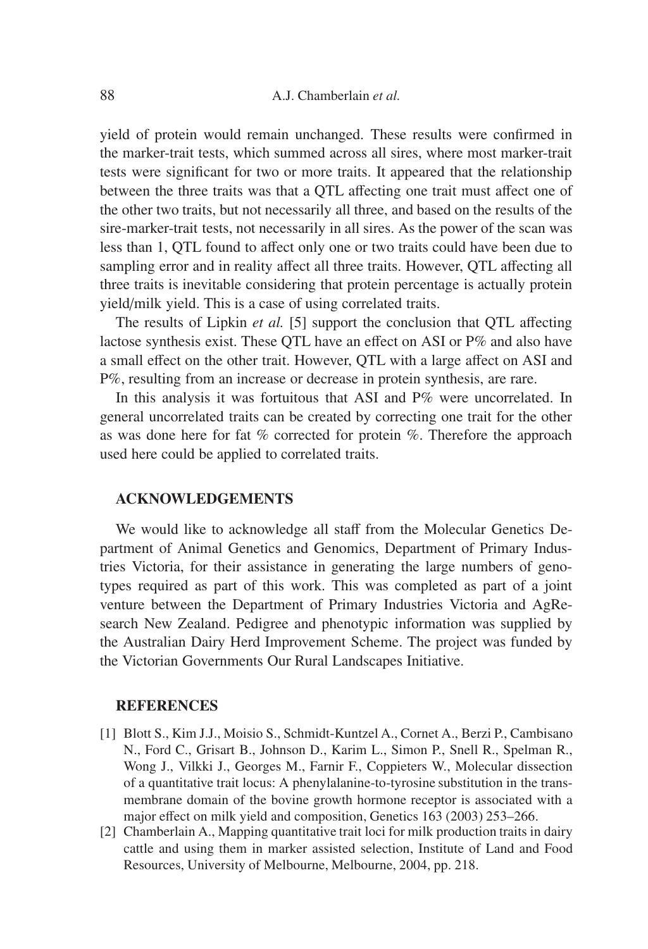yield of protein would remain unchanged. These results were confirmed in the marker-trait tests, which summed across all sires, where most marker-trait tests were significant for two or more traits. It appeared that the relationship between the three traits was that a QTL affecting one trait must affect one of the other two traits, but not necessarily all three, and based on the results of the sire-marker-trait tests, not necessarily in all sires. As the power of the scan was less than 1, QTL found to affect only one or two traits could have been due to sampling error and in reality affect all three traits. However, QTL affecting all three traits is inevitable considering that protein percentage is actually protein yield/milk yield. This is a case of using correlated traits.

The results of Lipkin *et al.* [5] support the conclusion that QTL affecting lactose synthesis exist. These QTL have an effect on ASI or P% and also have a small effect on the other trait. However, QTL with a large affect on ASI and P%, resulting from an increase or decrease in protein synthesis, are rare.

In this analysis it was fortuitous that ASI and P% were uncorrelated. In general uncorrelated traits can be created by correcting one trait for the other as was done here for fat % corrected for protein %. Therefore the approach used here could be applied to correlated traits.

## **ACKNOWLEDGEMENTS**

We would like to acknowledge all staff from the Molecular Genetics Department of Animal Genetics and Genomics, Department of Primary Industries Victoria, for their assistance in generating the large numbers of genotypes required as part of this work. This was completed as part of a joint venture between the Department of Primary Industries Victoria and AgResearch New Zealand. Pedigree and phenotypic information was supplied by the Australian Dairy Herd Improvement Scheme. The project was funded by the Victorian Governments Our Rural Landscapes Initiative.

#### **REFERENCES**

- [1] Blott S., Kim J.J., Moisio S., Schmidt-Kuntzel A., Cornet A., Berzi P., Cambisano N., Ford C., Grisart B., Johnson D., Karim L., Simon P., Snell R., Spelman R., Wong J., Vilkki J., Georges M., Farnir F., Coppieters W., Molecular dissection of a quantitative trait locus: A phenylalanine-to-tyrosine substitution in the transmembrane domain of the bovine growth hormone receptor is associated with a major effect on milk yield and composition, Genetics 163 (2003) 253–266.
- [2] Chamberlain A., Mapping quantitative trait loci for milk production traits in dairy cattle and using them in marker assisted selection, Institute of Land and Food Resources, University of Melbourne, Melbourne, 2004, pp. 218.